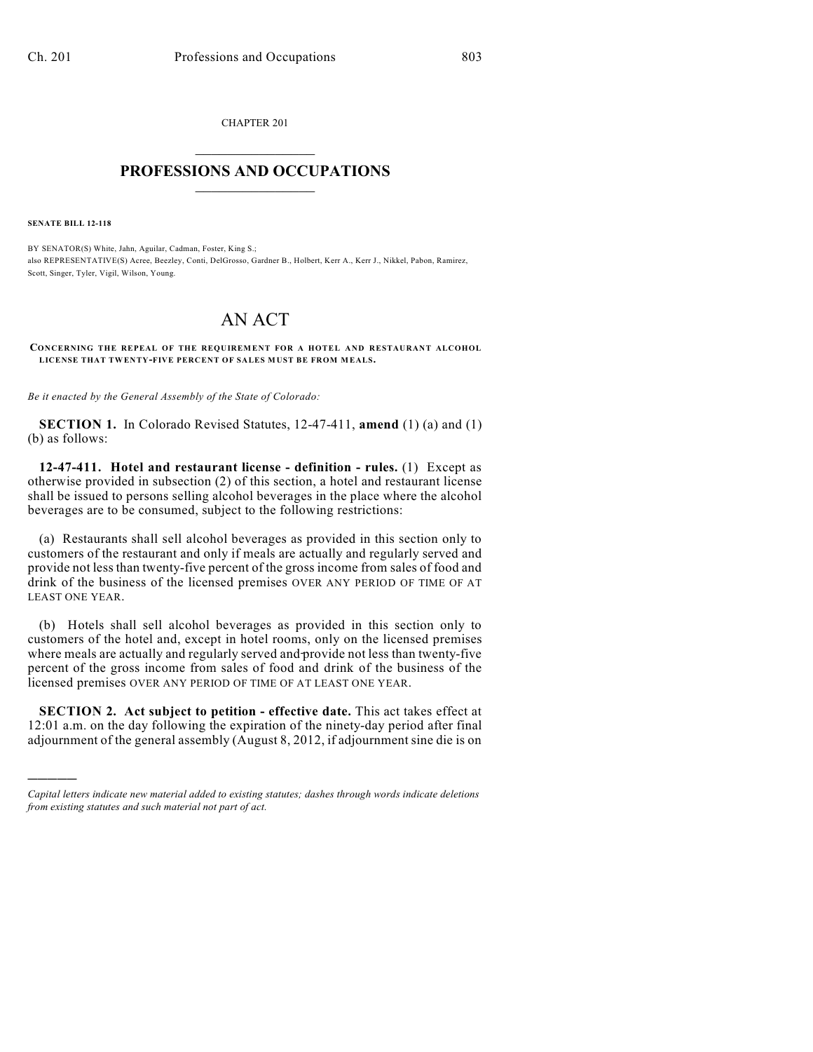CHAPTER 201  $\overline{\phantom{a}}$  . The set of the set of the set of the set of the set of the set of the set of the set of the set of the set of the set of the set of the set of the set of the set of the set of the set of the set of the set o

## **PROFESSIONS AND OCCUPATIONS**  $\frac{1}{2}$  ,  $\frac{1}{2}$  ,  $\frac{1}{2}$  ,  $\frac{1}{2}$  ,  $\frac{1}{2}$  ,  $\frac{1}{2}$

**SENATE BILL 12-118**

)))))

BY SENATOR(S) White, Jahn, Aguilar, Cadman, Foster, King S.; also REPRESENTATIVE(S) Acree, Beezley, Conti, DelGrosso, Gardner B., Holbert, Kerr A., Kerr J., Nikkel, Pabon, Ramirez, Scott, Singer, Tyler, Vigil, Wilson, Young.

## AN ACT

**CONCERNING THE REPEAL OF THE REQUIREMENT FOR A HOTEL AND RESTAURANT ALCOHOL LICENSE THAT TWENTY-FIVE PERCENT OF SALES MUST BE FROM MEALS.**

*Be it enacted by the General Assembly of the State of Colorado:*

**SECTION 1.** In Colorado Revised Statutes, 12-47-411, **amend** (1) (a) and (1) (b) as follows:

**12-47-411. Hotel and restaurant license - definition - rules.** (1) Except as otherwise provided in subsection (2) of this section, a hotel and restaurant license shall be issued to persons selling alcohol beverages in the place where the alcohol beverages are to be consumed, subject to the following restrictions:

(a) Restaurants shall sell alcohol beverages as provided in this section only to customers of the restaurant and only if meals are actually and regularly served and provide not less than twenty-five percent of the gross income from sales of food and drink of the business of the licensed premises OVER ANY PERIOD OF TIME OF AT LEAST ONE YEAR.

(b) Hotels shall sell alcohol beverages as provided in this section only to customers of the hotel and, except in hotel rooms, only on the licensed premises where meals are actually and regularly served and provide not less than twenty-five percent of the gross income from sales of food and drink of the business of the licensed premises OVER ANY PERIOD OF TIME OF AT LEAST ONE YEAR.

**SECTION 2. Act subject to petition - effective date.** This act takes effect at 12:01 a.m. on the day following the expiration of the ninety-day period after final adjournment of the general assembly (August 8, 2012, if adjournment sine die is on

*Capital letters indicate new material added to existing statutes; dashes through words indicate deletions from existing statutes and such material not part of act.*